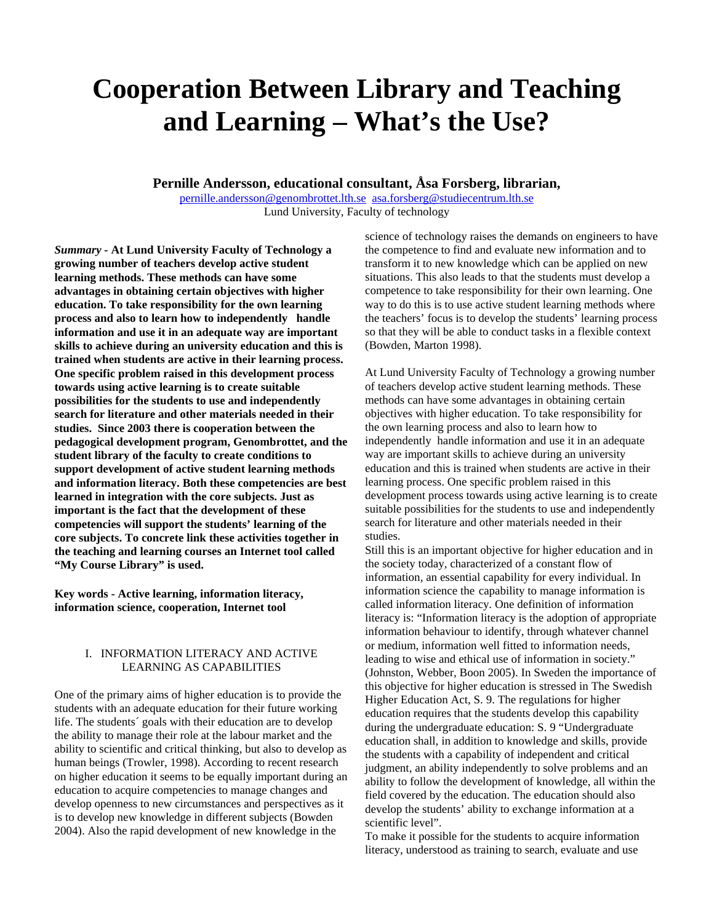# **Cooperation Between Library and Teaching and Learning – What's the Use?**

# **Pernille Andersson, educational consultant, Åsa Forsberg, librarian,**

pernille.andersson@genombrottet.lth.se asa.forsberg@studiecentrum.lth.se Lund University, Faculty of technology

*Summary -* **At Lund University Faculty of Technology a growing number of teachers develop active student learning methods. These methods can have some advantages in obtaining certain objectives with higher education. To take responsibility for the own learning process and also to learn how to independently handle information and use it in an adequate way are important skills to achieve during an university education and this is trained when students are active in their learning process. One specific problem raised in this development process towards using active learning is to create suitable possibilities for the students to use and independently search for literature and other materials needed in their studies. Since 2003 there is cooperation between the pedagogical development program, Genombrottet, and the student library of the faculty to create conditions to support development of active student learning methods and information literacy. Both these competencies are best learned in integration with the core subjects. Just as important is the fact that the development of these competencies will support the students' learning of the core subjects. To concrete link these activities together in the teaching and learning courses an Internet tool called "My Course Library" is used.** 

**Key words - Active learning, information literacy, information science, cooperation, Internet tool** 

## I. INFORMATION LITERACY AND ACTIVE LEARNING AS CAPABILITIES

One of the primary aims of higher education is to provide the students with an adequate education for their future working life. The students´ goals with their education are to develop the ability to manage their role at the labour market and the ability to scientific and critical thinking, but also to develop as human beings (Trowler, 1998). According to recent research on higher education it seems to be equally important during an education to acquire competencies to manage changes and develop openness to new circumstances and perspectives as it is to develop new knowledge in different subjects (Bowden 2004). Also the rapid development of new knowledge in the

science of technology raises the demands on engineers to have the competence to find and evaluate new information and to transform it to new knowledge which can be applied on new situations. This also leads to that the students must develop a competence to take responsibility for their own learning. One way to do this is to use active student learning methods where the teachers' focus is to develop the students' learning process so that they will be able to conduct tasks in a flexible context (Bowden, Marton 1998).

At Lund University Faculty of Technology a growing number of teachers develop active student learning methods. These methods can have some advantages in obtaining certain objectives with higher education. To take responsibility for the own learning process and also to learn how to independently handle information and use it in an adequate way are important skills to achieve during an university education and this is trained when students are active in their learning process. One specific problem raised in this development process towards using active learning is to create suitable possibilities for the students to use and independently search for literature and other materials needed in their studies.

Still this is an important objective for higher education and in the society today, characterized of a constant flow of information, an essential capability for every individual. In information science the capability to manage information is called information literacy. One definition of information literacy is: "Information literacy is the adoption of appropriate information behaviour to identify, through whatever channel or medium, information well fitted to information needs, leading to wise and ethical use of information in society." (Johnston, Webber, Boon 2005). In Sweden the importance of this objective for higher education is stressed in The Swedish Higher Education Act, S. 9. The regulations for higher education requires that the students develop this capability during the undergraduate education: S. 9 "Undergraduate education shall, in addition to knowledge and skills, provide the students with a capability of independent and critical judgment, an ability independently to solve problems and an ability to follow the development of knowledge, all within the field covered by the education. The education should also develop the students' ability to exchange information at a scientific level".

To make it possible for the students to acquire information literacy, understood as training to search, evaluate and use